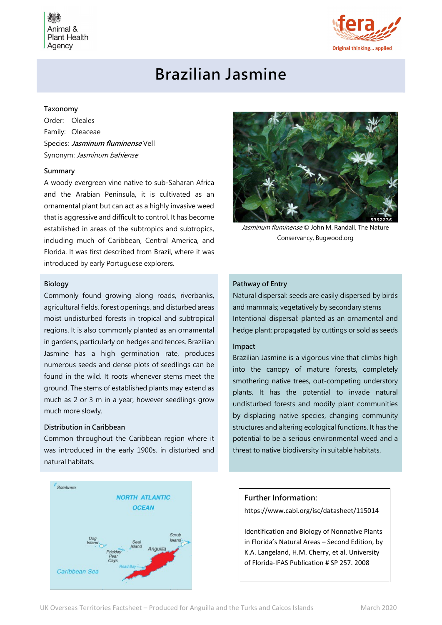Animal & **Plant Health** Agency



# Brazilian Jasmine

## Taxonomy

Order: Oleales Family: Oleaceae Species: Jasminum fluminense Vell Synonym: Jasminum bahiense

#### Summary

A woody evergreen vine native to sub-Saharan Africa and the Arabian Peninsula, it is cultivated as an ornamental plant but can act as a highly invasive weed that is aggressive and difficult to control. It has become established in areas of the subtropics and subtropics, including much of Caribbean, Central America, and Florida. It was first described from Brazil, where it was introduced by early Portuguese explorers.

#### Biology

Commonly found growing along roads, riverbanks, agricultural fields, forest openings, and disturbed areas moist undisturbed forests in tropical and subtropical regions. It is also commonly planted as an ornamental in gardens, particularly on hedges and fences. Brazilian Jasmine has a high germination rate, produces numerous seeds and dense plots of seedlings can be found in the wild. It roots whenever stems meet the ground. The stems of established plants may extend as much as 2 or 3 m in a year, however seedlings grow much more slowly.

## Distribution in Caribbean

Common throughout the Caribbean region where it was introduced in the early 1900s, in disturbed and natural habitats.





Jasminum fluminense © John M. Randall, The Nature Conservancy, Bugwood.org

# Pathway of Entry

Natural dispersal: seeds are easily dispersed by birds and mammals; vegetatively by secondary stems Intentional dispersal: planted as an ornamental and hedge plant; propagated by cuttings or sold as seeds

# Impact

Brazilian Jasmine is a vigorous vine that climbs high into the canopy of mature forests, completely smothering native trees, out-competing understory plants. It has the potential to invade natural undisturbed forests and modify plant communities by displacing native species, changing community structures and altering ecological functions. It has the potential to be a serious environmental weed and a threat to native biodiversity in suitable habitats.

# Further Information:

https://www.cabi.org/isc/datasheet/115014

Identification and Biology of Nonnative Plants in Florida's Natural Areas – Second Edition, by K.A. Langeland, H.M. Cherry, et al. University of Florida-IFAS Publication # SP 257. 2008